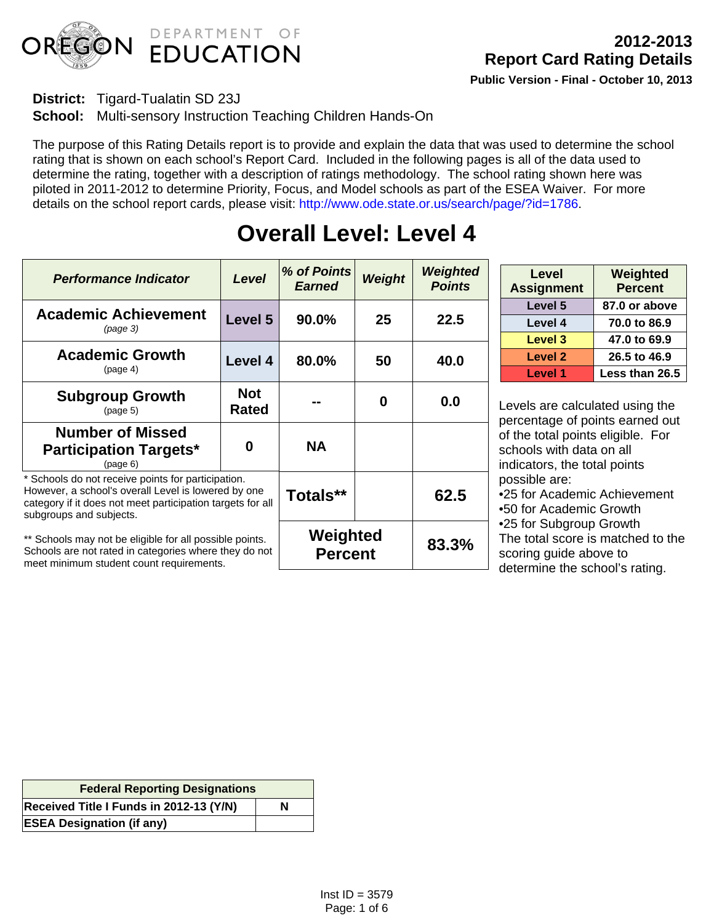

### **District:** Tigard-Tualatin SD 23J

**School:** Multi-sensory Instruction Teaching Children Hands-On

The purpose of this Rating Details report is to provide and explain the data that was used to determine the school rating that is shown on each school's Report Card. Included in the following pages is all of the data used to determine the rating, together with a description of ratings methodology. The school rating shown here was piloted in 2011-2012 to determine Priority, Focus, and Model schools as part of the ESEA Waiver. For more details on the school report cards, please visit: http://www.ode.state.or.us/search/page/?id=1786.

| <b>Performance Indicator</b>                                                                                                                                                                       | Level                      | % of Points<br><b>Earned</b> | <b>Weight</b> | Weighted<br><b>Points</b> |
|----------------------------------------------------------------------------------------------------------------------------------------------------------------------------------------------------|----------------------------|------------------------------|---------------|---------------------------|
| <b>Academic Achievement</b><br>(page 3)                                                                                                                                                            | Level 5                    | 90.0%                        | 25            | 22.5                      |
| <b>Academic Growth</b><br>(page 4)                                                                                                                                                                 | Level 4                    | 80.0%                        | 50            | 40.0                      |
| <b>Subgroup Growth</b><br>(page 5)                                                                                                                                                                 | <b>Not</b><br><b>Rated</b> |                              | 0             | 0.0                       |
| <b>Number of Missed</b><br><b>Participation Targets*</b><br>(page 6)                                                                                                                               | Ω                          | <b>NA</b>                    |               |                           |
| * Schools do not receive points for participation.<br>However, a school's overall Level is lowered by one<br>category if it does not meet participation targets for all<br>subgroups and subjects. |                            | Totals**                     |               | 62.5                      |
| ** Schools may not be eligible for all possible points.<br>Schools are not rated in categories where they do not<br>meet minimum student count requirements.                                       |                            | Weighted<br><b>Percent</b>   |               | 83.3%                     |

# **Overall Level: Level 4**

| Level<br><b>Assignment</b> | Weighted<br><b>Percent</b> |
|----------------------------|----------------------------|
| Level 5                    | 87.0 or above              |
| Level 4                    | 70.0 to 86.9               |
| Level 3                    | 47.0 to 69.9               |
| Level 2                    | 26.5 to 46.9               |
| <b>Level 1</b>             | Less than 26.5             |

Levels are calculated using the percentage of points earned out of the total points eligible. For schools with data on all indicators, the total points possible are:

• 25 for Academic Achievement

• 50 for Academic Growth

• 25 for Subgroup Growth

The total score is matched to the scoring guide above to determine the school's rating.

| <b>Federal Reporting Designations</b>   |   |  |  |  |
|-----------------------------------------|---|--|--|--|
| Received Title I Funds in 2012-13 (Y/N) | N |  |  |  |
| <b>ESEA Designation (if any)</b>        |   |  |  |  |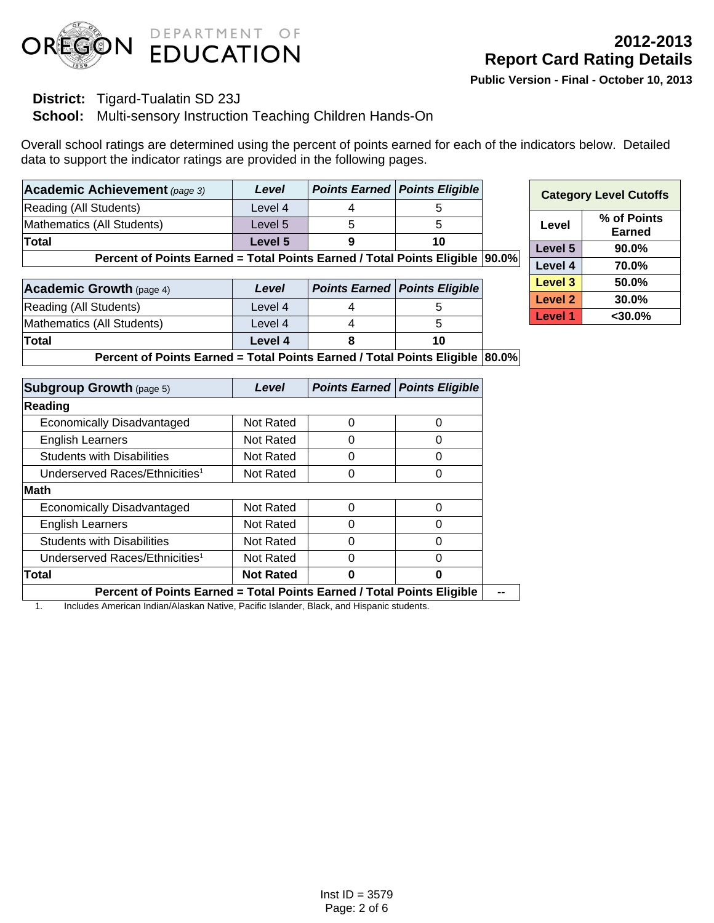

### **District:** Tigard-Tualatin SD 23J

### **School:** Multi-sensory Instruction Teaching Children Hands-On

Overall school ratings are determined using the percent of points earned for each of the indicators below. Detailed data to support the indicator ratings are provided in the following pages.

| Academic Achievement (page 3) | Level   | <b>Points Earned   Points Eligible</b> |
|-------------------------------|---------|----------------------------------------|
| Reading (All Students)        | Level 4 |                                        |
| Mathematics (All Students)    | Level 5 |                                        |
| <b>Total</b>                  | Level 5 | 10                                     |

**Percent of Points Earned = Total Points Earned / Total Points Eligible 90.0%** 

| <b>Academic Growth (page 4)</b> | Level   | <b>Points Earned   Points Eligible  </b> |
|---------------------------------|---------|------------------------------------------|
| Reading (All Students)          | Level 4 |                                          |
| Mathematics (All Students)      | Level 4 |                                          |
| Total                           | Level 4 | 10                                       |

| <b>Category Level Cutoffs</b> |                       |  |  |  |
|-------------------------------|-----------------------|--|--|--|
| Level                         | % of Points<br>Earned |  |  |  |
| Level 5                       | $90.0\%$              |  |  |  |
| Level 4                       | 70.0%                 |  |  |  |
| <b>Level 3</b>                | 50.0%                 |  |  |  |
| <b>Level 2</b>                | 30.0%                 |  |  |  |
| <b>Level 1</b>                | $<$ 30.0%             |  |  |  |

**Percent of Points Earned = Total Points Earned / Total Points Eligible 80.0%** 

| <b>Subgroup Growth (page 5)</b>                                               | Level            |   | <b>Points Earned   Points Eligible</b> |
|-------------------------------------------------------------------------------|------------------|---|----------------------------------------|
| Reading                                                                       |                  |   |                                        |
| Economically Disadvantaged                                                    | Not Rated        | 0 | 0                                      |
| <b>English Learners</b>                                                       | Not Rated        | 0 | 0                                      |
| <b>Students with Disabilities</b>                                             | Not Rated        | 0 | O                                      |
| Underserved Races/Ethnicities <sup>1</sup>                                    | Not Rated        | 0 | ი                                      |
| <b>Math</b>                                                                   |                  |   |                                        |
| Economically Disadvantaged                                                    | Not Rated        | Ⴖ |                                        |
| <b>English Learners</b>                                                       | Not Rated        | Ω |                                        |
| <b>Students with Disabilities</b>                                             | Not Rated        | 0 |                                        |
| Underserved Races/Ethnicities <sup>1</sup>                                    | Not Rated        | 0 |                                        |
| Total                                                                         | <b>Not Rated</b> | 0 | 0                                      |
| <b>Dorgant of Dointe Fornad - Total Dointe Fornad / Total Dointe Fligible</b> |                  |   |                                        |

**Percent of Points Earned = Total Points Earned / Total Points Eligible | --**

1. Includes American Indian/Alaskan Native, Pacific Islander, Black, and Hispanic students.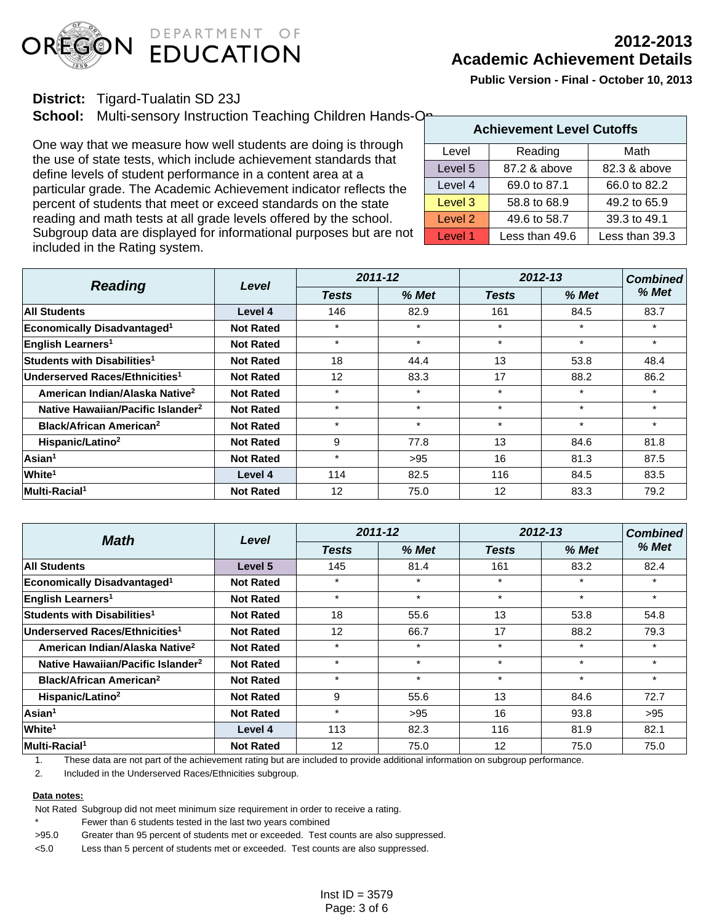

### **District:** Tigard-Tualatin SD 23J

**School:** Multi-sensory Instruction Teaching Children Hands-On-

One way that we measure how well students are doing is through the use of state tests, which include achievement standards that define levels of student performance in a content area at a particular grade. The Academic Achievement indicator reflects the percent of students that meet or exceed standards on the state reading and math tests at all grade levels offered by the school. Subgroup data are displayed for informational purposes but are not included in the Rating system.

|                    | <b>Achievement Level Cutoffs</b> |                |  |  |  |  |  |
|--------------------|----------------------------------|----------------|--|--|--|--|--|
| Level              | Reading                          | Math           |  |  |  |  |  |
| Level 5            | 87.2 & above                     | 82.3 & above   |  |  |  |  |  |
| Level 4            | 69.0 to 87.1                     | 66.0 to 82.2   |  |  |  |  |  |
| Level 3            | 58.8 to 68.9                     | 49.2 to 65.9   |  |  |  |  |  |
| Level <sub>2</sub> | 49.6 to 58.7                     | 39.3 to 49.1   |  |  |  |  |  |
| Level 1            | Less than 49.6                   | Less than 39.3 |  |  |  |  |  |

| <b>Reading</b>                                | Level            | 2011-12      |         | $2012 - 13$  | <b>Combined</b> |         |
|-----------------------------------------------|------------------|--------------|---------|--------------|-----------------|---------|
|                                               |                  | <b>Tests</b> | $%$ Met | <b>Tests</b> | % Met           | % Met   |
| <b>All Students</b>                           | Level 4          | 146          | 82.9    | 161          | 84.5            | 83.7    |
| <b>Economically Disadvantaged<sup>1</sup></b> | <b>Not Rated</b> | $\star$      | $\star$ | $\star$      | $\star$         | $\star$ |
| English Learners <sup>1</sup>                 | <b>Not Rated</b> | $\star$      | $\star$ | $\star$      | $\star$         | $\star$ |
| Students with Disabilities <sup>1</sup>       | <b>Not Rated</b> | 18           | 44.4    | 13           | 53.8            | 48.4    |
| Underserved Races/Ethnicities <sup>1</sup>    | <b>Not Rated</b> | 12           | 83.3    | 17           | 88.2            | 86.2    |
| American Indian/Alaska Native <sup>2</sup>    | <b>Not Rated</b> | $\star$      | $\star$ | $\star$      | $\star$         | $\star$ |
| Native Hawaiian/Pacific Islander <sup>2</sup> | <b>Not Rated</b> | $\star$      | $\star$ | $\star$      | $\star$         | $\star$ |
| <b>Black/African American<sup>2</sup></b>     | <b>Not Rated</b> | $\star$      | $\star$ | $\star$      | $\star$         | $\star$ |
| Hispanic/Latino <sup>2</sup>                  | <b>Not Rated</b> | 9            | 77.8    | 13           | 84.6            | 81.8    |
| Asian <sup>1</sup>                            | <b>Not Rated</b> | $\star$      | >95     | 16           | 81.3            | 87.5    |
| White <sup>1</sup>                            | Level 4          | 114          | 82.5    | 116          | 84.5            | 83.5    |
| Multi-Racial <sup>1</sup>                     | <b>Not Rated</b> | 12           | 75.0    | 12           | 83.3            | 79.2    |

| <b>Math</b>                                   | Level            | 2011-12      |         | 2012-13      | <b>Combined</b> |         |
|-----------------------------------------------|------------------|--------------|---------|--------------|-----------------|---------|
|                                               |                  | <b>Tests</b> | $%$ Met | <b>Tests</b> | % Met           | % Met   |
| <b>All Students</b>                           | Level 5          | 145          | 81.4    | 161          | 83.2            | 82.4    |
| Economically Disadvantaged <sup>1</sup>       | <b>Not Rated</b> | $\star$      | $\ast$  | $\star$      | $\star$         | $\star$ |
| English Learners <sup>1</sup>                 | <b>Not Rated</b> | $\star$      | $\star$ | $\star$      | $\star$         | $\star$ |
| Students with Disabilities <sup>1</sup>       | <b>Not Rated</b> | 18           | 55.6    | 13           | 53.8            | 54.8    |
| Underserved Races/Ethnicities <sup>1</sup>    | <b>Not Rated</b> | 12           | 66.7    | 17           | 88.2            | 79.3    |
| American Indian/Alaska Native <sup>2</sup>    | <b>Not Rated</b> | $\star$      | $\star$ | $\star$      | $\star$         | $\star$ |
| Native Hawaiian/Pacific Islander <sup>2</sup> | <b>Not Rated</b> | $\star$      | $\star$ | $\star$      | $\star$         | $\star$ |
| <b>Black/African American<sup>2</sup></b>     | <b>Not Rated</b> | $\star$      | $\star$ | $\star$      | $\star$         | $\star$ |
| Hispanic/Latino <sup>2</sup>                  | <b>Not Rated</b> | 9            | 55.6    | 13           | 84.6            | 72.7    |
| Asian <sup>1</sup>                            | <b>Not Rated</b> | $\star$      | $>95$   | 16           | 93.8            | >95     |
| White <sup>1</sup>                            | Level 4          | 113          | 82.3    | 116          | 81.9            | 82.1    |
| Multi-Racial <sup>1</sup>                     | <b>Not Rated</b> | 12           | 75.0    | 12           | 75.0            | 75.0    |

1. These data are not part of the achievement rating but are included to provide additional information on subgroup performance.

2. Included in the Underserved Races/Ethnicities subgroup.

#### **Data notes:**

Not Rated Subgroup did not meet minimum size requirement in order to receive a rating.

Fewer than 6 students tested in the last two years combined

>95.0 Greater than 95 percent of students met or exceeded. Test counts are also suppressed.

<5.0 Less than 5 percent of students met or exceeded. Test counts are also suppressed.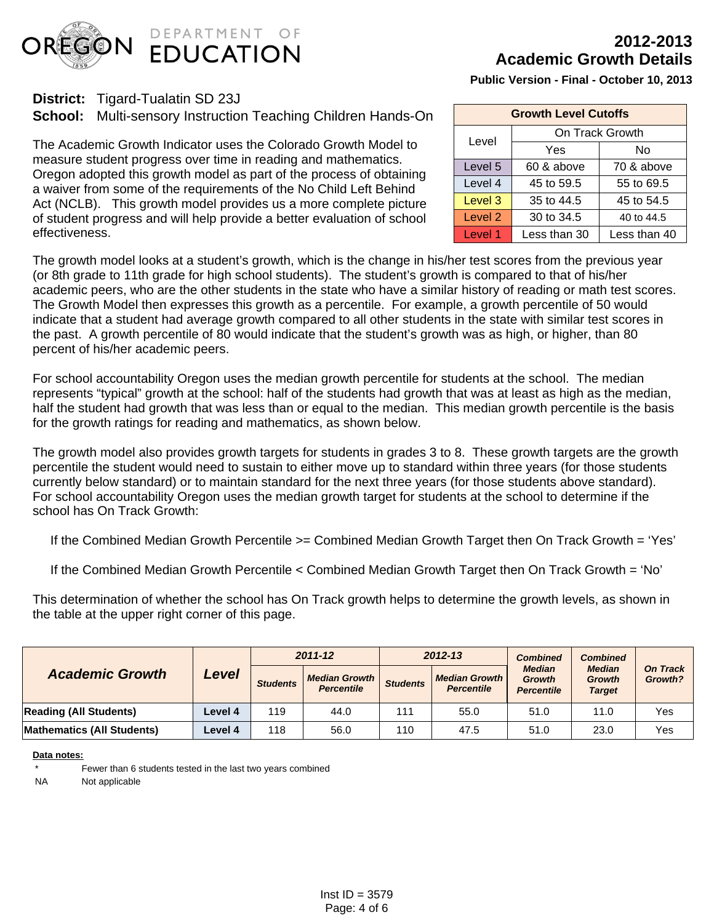

# **2012-2013 Academic Growth Details**

**Public Version - Final - October 10, 2013**

| <b>Growth Level Cutoffs</b> |                 |              |  |  |  |
|-----------------------------|-----------------|--------------|--|--|--|
| Level                       | On Track Growth |              |  |  |  |
|                             | Yes             | No           |  |  |  |
| Level 5                     | 60 & above      | 70 & above   |  |  |  |
| Level 4                     | 45 to 59.5      | 55 to 69.5   |  |  |  |
| Level 3                     | 35 to 44.5      | 45 to 54.5   |  |  |  |
| Level 2                     | 30 to 34.5      | 40 to 44.5   |  |  |  |
| Level 1                     | Less than 30    | Less than 40 |  |  |  |

**District:** Tigard-Tualatin SD 23J

**School:** Multi-sensory Instruction Teaching Children Hands-On

The Academic Growth Indicator uses the Colorado Growth Model to measure student progress over time in reading and mathematics. Oregon adopted this growth model as part of the process of obtaining a waiver from some of the requirements of the No Child Left Behind Act (NCLB). This growth model provides us a more complete picture of student progress and will help provide a better evaluation of school effectiveness.

The growth model looks at a student's growth, which is the change in his/her test scores from the previous year (or 8th grade to 11th grade for high school students). The student's growth is compared to that of his/her academic peers, who are the other students in the state who have a similar history of reading or math test scores. The Growth Model then expresses this growth as a percentile. For example, a growth percentile of 50 would indicate that a student had average growth compared to all other students in the state with similar test scores in the past. A growth percentile of 80 would indicate that the student's growth was as high, or higher, than 80 percent of his/her academic peers.

For school accountability Oregon uses the median growth percentile for students at the school. The median represents "typical" growth at the school: half of the students had growth that was at least as high as the median, half the student had growth that was less than or equal to the median. This median growth percentile is the basis for the growth ratings for reading and mathematics, as shown below.

The growth model also provides growth targets for students in grades 3 to 8. These growth targets are the growth percentile the student would need to sustain to either move up to standard within three years (for those students currently below standard) or to maintain standard for the next three years (for those students above standard). For school accountability Oregon uses the median growth target for students at the school to determine if the school has On Track Growth:

If the Combined Median Growth Percentile >= Combined Median Growth Target then On Track Growth = 'Yes'

If the Combined Median Growth Percentile < Combined Median Growth Target then On Track Growth = 'No'

This determination of whether the school has On Track growth helps to determine the growth levels, as shown in the table at the upper right corner of this page.

|                               |                | $2011 - 12$     |                                                                                                                                                                                                                | $2012 - 13$                |      | <b>Combined</b> | <b>Combined</b> |     |
|-------------------------------|----------------|-----------------|----------------------------------------------------------------------------------------------------------------------------------------------------------------------------------------------------------------|----------------------------|------|-----------------|-----------------|-----|
| <b>Academic Growth</b>        | Level          | <b>Students</b> | <b>Median</b><br><b>Median</b><br><b>Median Growth  </b><br><b>Median Growth</b><br><b>Growth</b><br>Growth<br><b>Students</b><br><b>Percentile</b><br><b>Percentile</b><br><b>Target</b><br><b>Percentile</b> | On Track $\mid$<br>Growth? |      |                 |                 |     |
| <b>Reading (All Students)</b> | <b>Level 4</b> | 119             | 44.0                                                                                                                                                                                                           | 111                        | 55.0 | 51.0            | 11.0            | Yes |
| Mathematics (All Students)    | Level 4        | 118             | 56.0                                                                                                                                                                                                           | 110                        | 47.5 | 51.0            | 23.0            | Yes |

#### **Data notes:**

Fewer than 6 students tested in the last two years combined

NA Not applicable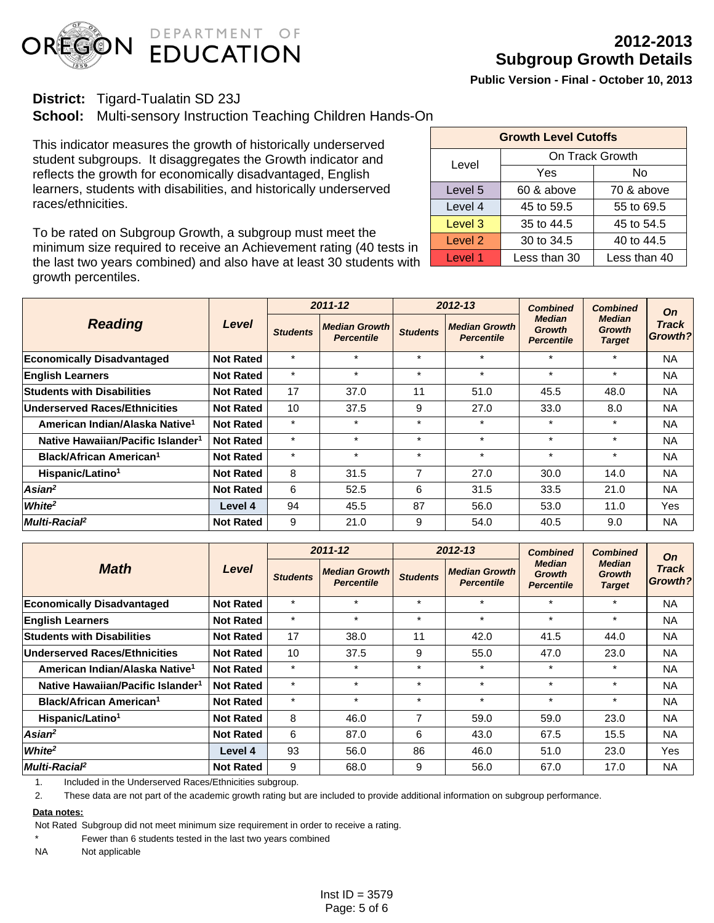

### **District:** Tigard-Tualatin SD 23J

**School:** Multi-sensory Instruction Teaching Children Hands-On

This indicator measures the growth of historically underserved student subgroups. It disaggregates the Growth indicator and reflects the growth for economically disadvantaged, English learners, students with disabilities, and historically underserved races/ethnicities.

To be rated on Subgroup Growth, a subgroup must meet the minimum size required to receive an Achievement rating (40 tests in the last two years combined) and also have at least 30 students with growth percentiles.

| <b>Growth Level Cutoffs</b> |                 |              |  |  |  |  |  |
|-----------------------------|-----------------|--------------|--|--|--|--|--|
| Level                       | On Track Growth |              |  |  |  |  |  |
|                             | Yes             | No           |  |  |  |  |  |
| Level 5                     | 60 & above      | 70 & above   |  |  |  |  |  |
| Level 4                     | 45 to 59.5      | 55 to 69.5   |  |  |  |  |  |
| Level 3                     | 35 to 44.5      | 45 to 54.5   |  |  |  |  |  |
| Level 2                     | 30 to 34.5      | 40 to 44.5   |  |  |  |  |  |
| Level 1                     | Less than 30    | Less than 40 |  |  |  |  |  |

| <b>Reading</b>                                | Level            |                 | $2011 - 12$                               |                 | 2012-13                                   | <b>Combined</b>                                     | <b>Combined</b><br><b>Median</b><br><b>Growth</b><br><b>Target</b> | <b>On</b><br><b>Track</b><br>Growth? |
|-----------------------------------------------|------------------|-----------------|-------------------------------------------|-----------------|-------------------------------------------|-----------------------------------------------------|--------------------------------------------------------------------|--------------------------------------|
|                                               |                  | <b>Students</b> | <b>Median Growth</b><br><b>Percentile</b> | <b>Students</b> | <b>Median Growth</b><br><b>Percentile</b> | <b>Median</b><br><b>Growth</b><br><b>Percentile</b> |                                                                    |                                      |
| <b>Economically Disadvantaged</b>             | <b>Not Rated</b> | $\star$         | $\star$                                   | $\star$         | $\star$                                   | $\star$                                             | $\star$                                                            | <b>NA</b>                            |
| <b>English Learners</b>                       | <b>Not Rated</b> | $\star$         | $\star$                                   | $\star$         | $\star$                                   | $\star$                                             | $\star$                                                            | <b>NA</b>                            |
| <b>Students with Disabilities</b>             | <b>Not Rated</b> | 17              | 37.0                                      | 11              | 51.0                                      | 45.5                                                | 48.0                                                               | <b>NA</b>                            |
| <b>Underserved Races/Ethnicities</b>          | <b>Not Rated</b> | 10              | 37.5                                      | 9               | 27.0                                      | 33.0                                                | 8.0                                                                | <b>NA</b>                            |
| American Indian/Alaska Native <sup>1</sup>    | <b>Not Rated</b> | $\star$         | $\star$                                   | $\star$         | $\star$                                   | $\star$                                             | $\star$                                                            | <b>NA</b>                            |
| Native Hawaiian/Pacific Islander <sup>1</sup> | <b>Not Rated</b> | $\star$         | $\star$                                   | $\star$         | $\star$                                   | $\star$                                             | $\star$                                                            | <b>NA</b>                            |
| Black/African American <sup>1</sup>           | <b>Not Rated</b> | $\star$         | $\star$                                   | $\star$         | $\star$                                   | $\star$                                             | $\star$                                                            | <b>NA</b>                            |
| Hispanic/Latino <sup>1</sup>                  | <b>Not Rated</b> | 8               | 31.5                                      | 7               | 27.0                                      | 30.0                                                | 14.0                                                               | <b>NA</b>                            |
| Asian <sup>2</sup>                            | <b>Not Rated</b> | 6               | 52.5                                      | 6               | 31.5                                      | 33.5                                                | 21.0                                                               | <b>NA</b>                            |
| White <sup>2</sup>                            | Level 4          | 94              | 45.5                                      | 87              | 56.0                                      | 53.0                                                | 11.0                                                               | Yes                                  |
| Multi-Racial <sup>2</sup>                     | <b>Not Rated</b> | 9               | 21.0                                      | 9               | 54.0                                      | 40.5                                                | 9.0                                                                | <b>NA</b>                            |

| <b>Math</b>                                   | Level            |                 | $2011 - 12$                               |                 | $2012 - 13$                               | <b>Combined</b>                                     | <b>Combined</b><br><b>Median</b><br><b>Growth</b><br><b>Target</b> | <b>On</b><br><b>Track</b><br>Growth? |
|-----------------------------------------------|------------------|-----------------|-------------------------------------------|-----------------|-------------------------------------------|-----------------------------------------------------|--------------------------------------------------------------------|--------------------------------------|
|                                               |                  | <b>Students</b> | <b>Median Growth</b><br><b>Percentile</b> | <b>Students</b> | <b>Median Growth</b><br><b>Percentile</b> | <b>Median</b><br><b>Growth</b><br><b>Percentile</b> |                                                                    |                                      |
| <b>Economically Disadvantaged</b>             | <b>Not Rated</b> | $\star$         | $\star$                                   | $\star$         | $\star$                                   | $\star$                                             | $\star$                                                            | <b>NA</b>                            |
| <b>English Learners</b>                       | <b>Not Rated</b> | $\star$         | $\star$                                   | $\star$         | $\star$                                   | $\star$                                             | $\star$                                                            | <b>NA</b>                            |
| <b>Students with Disabilities</b>             | <b>Not Rated</b> | 17              | 38.0                                      | 11              | 42.0                                      | 41.5                                                | 44.0                                                               | <b>NA</b>                            |
| Underserved Races/Ethnicities                 | <b>Not Rated</b> | 10              | 37.5                                      | 9               | 55.0                                      | 47.0                                                | 23.0                                                               | <b>NA</b>                            |
| American Indian/Alaska Native <sup>1</sup>    | <b>Not Rated</b> | $\star$         | $\star$                                   | $\star$         | $\star$                                   | $\star$                                             | $\ast$                                                             | <b>NA</b>                            |
| Native Hawaiian/Pacific Islander <sup>1</sup> | <b>Not Rated</b> | $\star$         | $\star$                                   | $\star$         | $\star$                                   | $\star$                                             | $\star$                                                            | <b>NA</b>                            |
| Black/African American <sup>1</sup>           | <b>Not Rated</b> | $\star$         | $\star$                                   | $\star$         | $\star$                                   | $\star$                                             | $\star$                                                            | <b>NA</b>                            |
| Hispanic/Latino <sup>1</sup>                  | <b>Not Rated</b> | 8               | 46.0                                      | 7               | 59.0                                      | 59.0                                                | 23.0                                                               | <b>NA</b>                            |
| $Asian^2$                                     | <b>Not Rated</b> | 6               | 87.0                                      | 6               | 43.0                                      | 67.5                                                | 15.5                                                               | <b>NA</b>                            |
| White <sup>2</sup>                            | Level 4          | 93              | 56.0                                      | 86              | 46.0                                      | 51.0                                                | 23.0                                                               | Yes                                  |
| Multi-Racial <sup>2</sup>                     | <b>Not Rated</b> | 9               | 68.0                                      | 9               | 56.0                                      | 67.0                                                | 17.0                                                               | <b>NA</b>                            |

1. Included in the Underserved Races/Ethnicities subgroup.

2. These data are not part of the academic growth rating but are included to provide additional information on subgroup performance.

#### **Data notes:**

Not Rated Subgroup did not meet minimum size requirement in order to receive a rating.

Fewer than 6 students tested in the last two years combined

NA Not applicable